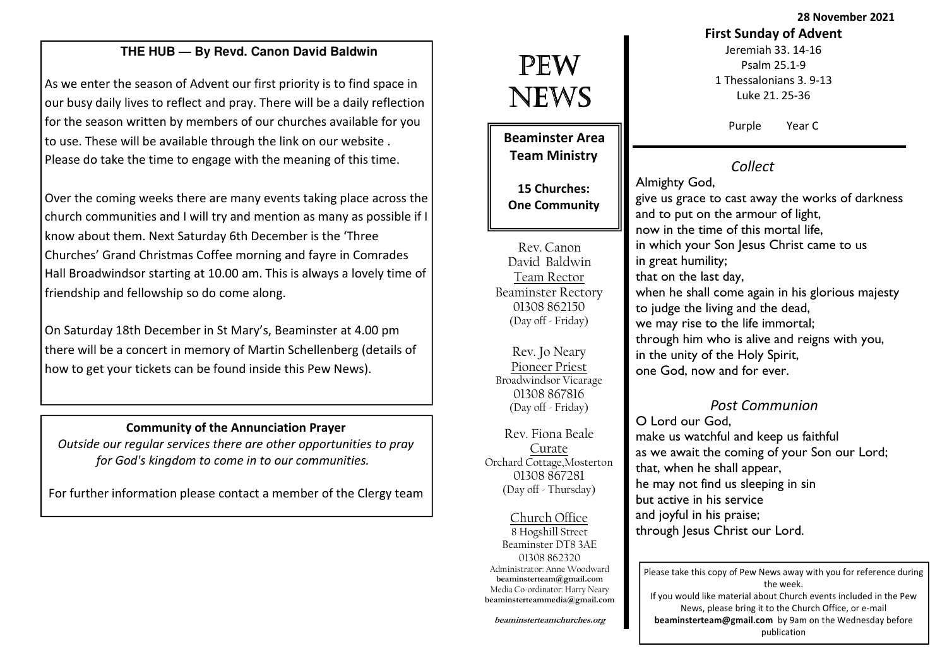28 November 2021

# **THE HUB — By Revd. Canon David Baldwin**

As we enter the season of Advent our first priority is to find space in our busy daily lives to reflect and pray. There will be a daily reflection for the season written by members of our churches available for you to use. These will be available through the link on our website . Please do take the time to engage with the meaning of this time.

Over the coming weeks there are many events taking place across the church communities and I will try and mention as many as possible if I know about them. Next Saturday 6th December is the 'Three Churches' Grand Christmas Coffee morning and fayre in Comrades Hall Broadwindsor starting at 10.00 am. This is always a lovely time of friendship and fellowship so do come along.

On Saturday 18th December in St Mary's, Beaminster at 4.00 pm there will be a concert in memory of Martin Schellenberg (details of how to get your tickets can be found inside this Pew News).

#### Community of the Annunciation Prayer

Outside our regular services there are other opportunities to pray for God's kingdom to come in to our communities.

For further information please contact a member of the Clergy team

# PEW NEWS

Beaminster Area Team Ministry

15 Churches: One Community

Rev. Canon David Baldwin Team Rector Beaminster Rectory 01308 862150 (Day off - Friday)

Rev. Jo Neary Pioneer Priest Broadwindsor Vicarage 01308 867816 (Day off - Friday)

Rev. Fiona Beale Curate Orchard Cottage,Mosterton 01308 867281(Day off - Thursday)

Church Office 8 Hogshill Street Beaminster DT8 3AE 01308 862320 Administrator: Anne Woodward beaminsterteam@gmail.com Media Co-ordinator: Harry Nearybeaminsterteammedia@gmail.com

beaminsterteamchurches.org

# First Sunday of Advent

Jeremiah 33. 14-16 Psalm 25.1-9 1 Thessalonians 3. 9-13 Luke 21. 25-36

Purple Year C

# Collect

Almighty God, give us grace to cast away the works of darkness and to put on the armour of light, now in the time of this mortal life, in which your Son Jesus Christ came to us in great humility; that on the last day, when he shall come again in his glorious majesty to judge the living and the dead, we may rise to the life immortal; through him who is alive and reigns with you, in the unity of the Holy Spirit, one God, now and for ever.

# Post Communion

O Lord our God, make us watchful and keep us faithful as we await the coming of your Son our Lord; that, when he shall appear, he may not find us sleeping in sin but active in his service and joyful in his praise; through Jesus Christ our Lord.

Please take this copy of Pew News away with you for reference during the week. If you would like material about Church events included in the Pew News, please bring it to the Church Office, or e-mail beaminsterteam@gmail.com by 9am on the Wednesday before publication